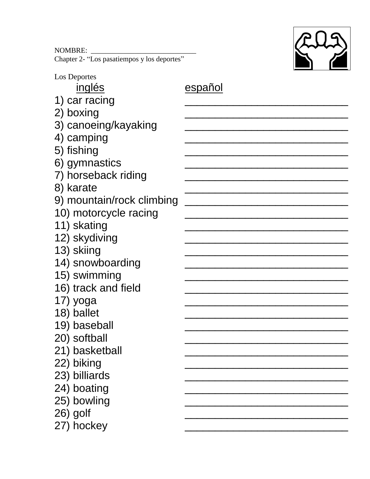NOMBRE: \_\_\_\_\_\_\_\_\_\_\_\_\_\_\_\_\_\_\_\_\_\_\_\_\_\_\_\_\_ Chapter 2- "Los pasatiempos y los deportes"



| Los Deportes              |         |
|---------------------------|---------|
| <u>inglés</u>             | español |
| 1) car racing             |         |
| 2) boxing                 |         |
| 3) canoeing/kayaking      |         |
| 4) camping                |         |
| 5) fishing                |         |
| 6) gymnastics             |         |
| 7) horseback riding       |         |
| 8) karate                 |         |
| 9) mountain/rock climbing |         |
| 10) motorcycle racing     |         |
| 11) skating               |         |
| 12) skydiving             |         |
| 13) skiing                |         |
| 14) snowboarding          |         |
| 15) swimming              |         |
| 16) track and field       |         |
| 17) yoga                  |         |
| 18) ballet                |         |
| 19) baseball              |         |
| 20) softball              |         |
| 21) basketball            |         |
| 22) biking                |         |
| 23) billiards             |         |
| 24) boating               |         |
| 25) bowling               |         |
| 26) golf                  |         |
| 27) hockey                |         |
|                           |         |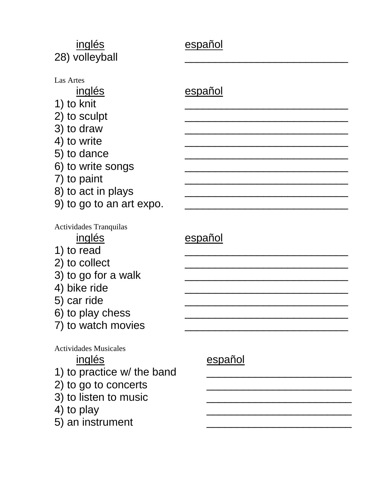| inglés<br>28) volleyball                                                                                                                                                                   | español        |
|--------------------------------------------------------------------------------------------------------------------------------------------------------------------------------------------|----------------|
| Las Artes<br><u>inglés</u><br>1) to knit<br>2) to sculpt<br>3) to draw<br>4) to write<br>5) to dance<br>6) to write songs<br>7) to paint<br>8) to act in plays<br>9) to go to an art expo. | español        |
| Actividades Tranquilas<br>inglés<br>1) to read<br>2) to collect<br>3) to go for a walk<br>4) bike ride<br>5) car ride<br>6) to play chess<br>7) to watch movies                            | <u>español</u> |
| <b>Actividades Musicales</b><br><u>inglés</u><br>1) to practice w/ the band<br>2) to go to concerts<br>3) to listen to music<br>4) to play<br>5) an instrument                             | español        |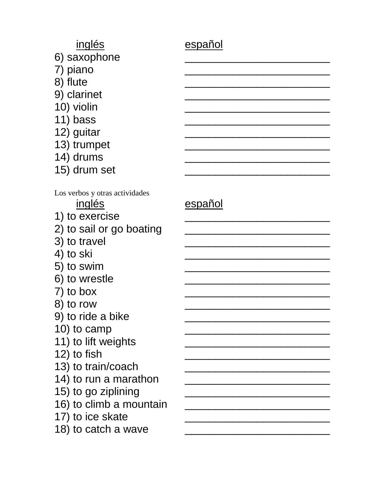## inglés español

- 6) saxophone
- 7) piano
- 8) flute
- 9) clarinet
- 10) violin
- 11) bass
- 12) guitar
- 13) trumpet
- $14)$  drums
- 15) drum set

Los verbos y otras actividades

## inglés español

1) to exercise

- 2) to sail or go boating
- 3) to travel
- 4) to ski
- 5) to swim
- 6) to wrestle
- $7)$  to box
- $8)$  to row
- 9) to ride a bike
- 10) to camp
- 11) to lift weights
- 12) to fish
- 13) to train/coach
- 14) to run a marathon
- 15) to go ziplining
- 16) to climb a mountain
- 17) to ice skate
- 18) to catch a wave